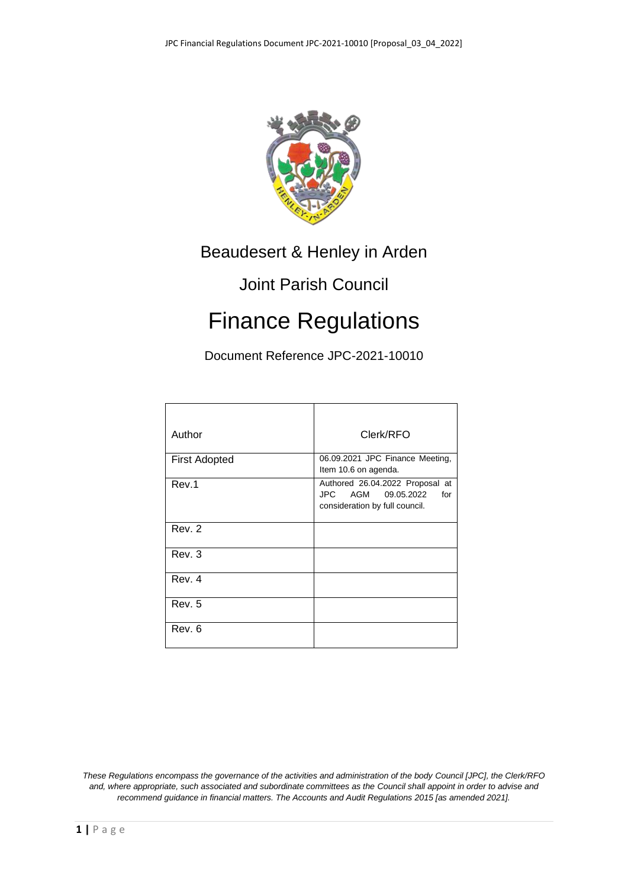

# Beaudesert & Henley in Arden

# Joint Parish Council

# Finance Regulations

Document Reference JPC-2021-10010

| Author               | Clerk/RFO                                                                                         |
|----------------------|---------------------------------------------------------------------------------------------------|
| <b>First Adopted</b> | 06.09.2021 JPC Finance Meeting,<br>Item 10.6 on agenda.                                           |
| Rev.1                | Authored 26.04.2022 Proposal at<br>JPC AGM<br>09.05.2022<br>for<br>consideration by full council. |
| Rev. 2               |                                                                                                   |
| Rev. 3               |                                                                                                   |
| Rev. 4               |                                                                                                   |
| Rev. 5               |                                                                                                   |
| Rev. 6               |                                                                                                   |

*These Regulations encompass the governance of the activities and administration of the body Council [JPC], the Clerk/RFO and, where appropriate, such associated and subordinate committees as the Council shall appoint in order to advise and recommend guidance in financial matters. The Accounts and Audit Regulations 2015 [as amended 2021].*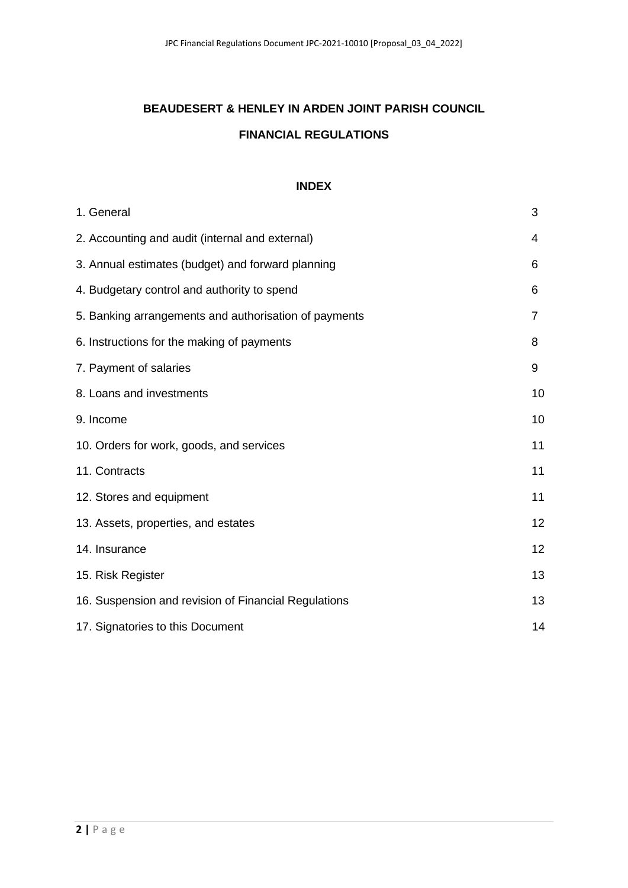# **BEAUDESERT & HENLEY IN ARDEN JOINT PARISH COUNCIL FINANCIAL REGULATIONS**

#### **INDEX**

| 1. General                                            | 3              |
|-------------------------------------------------------|----------------|
| 2. Accounting and audit (internal and external)       | 4              |
| 3. Annual estimates (budget) and forward planning     | 6              |
| 4. Budgetary control and authority to spend           | 6              |
| 5. Banking arrangements and authorisation of payments | $\overline{7}$ |
| 6. Instructions for the making of payments            | 8              |
| 7. Payment of salaries                                | 9              |
| 8. Loans and investments                              | 10             |
| 9. Income                                             | 10             |
| 10. Orders for work, goods, and services              | 11             |
| 11. Contracts                                         | 11             |
| 12. Stores and equipment                              | 11             |
| 13. Assets, properties, and estates                   | 12             |
| 14. Insurance                                         | 12             |
| 15. Risk Register                                     | 13             |
| 16. Suspension and revision of Financial Regulations  | 13             |
| 17. Signatories to this Document                      | 14             |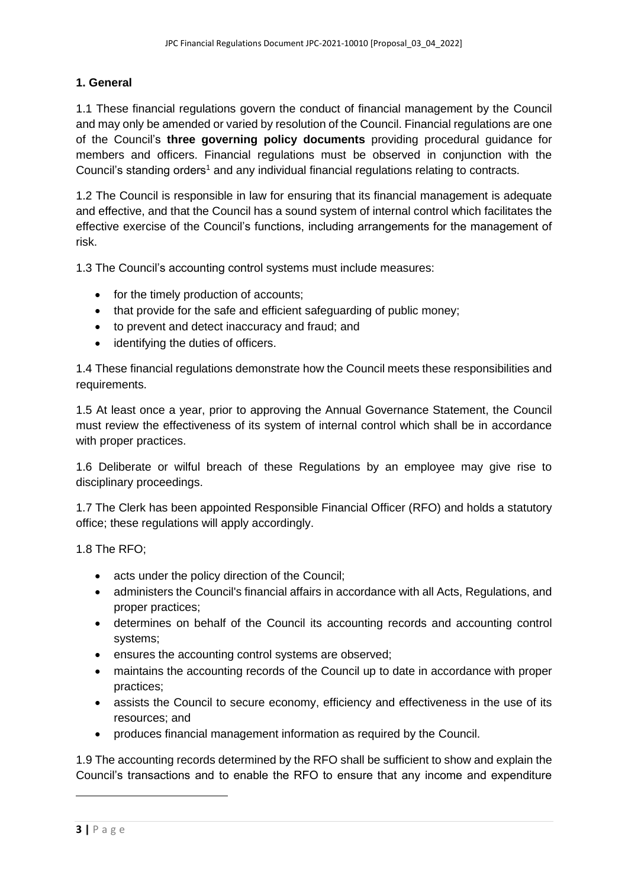# **1. General**

1.1 These financial regulations govern the conduct of financial management by the Council and may only be amended or varied by resolution of the Council. Financial regulations are one of the Council's **three governing policy documents** providing procedural guidance for members and officers. Financial regulations must be observed in conjunction with the Council's standing orders<sup>1</sup> and any individual financial regulations relating to contracts.

1.2 The Council is responsible in law for ensuring that its financial management is adequate and effective, and that the Council has a sound system of internal control which facilitates the effective exercise of the Council's functions, including arrangements for the management of risk.

1.3 The Council's accounting control systems must include measures:

- for the timely production of accounts;
- that provide for the safe and efficient safeguarding of public money;
- to prevent and detect inaccuracy and fraud; and
- identifying the duties of officers.

1.4 These financial regulations demonstrate how the Council meets these responsibilities and requirements.

1.5 At least once a year, prior to approving the Annual Governance Statement, the Council must review the effectiveness of its system of internal control which shall be in accordance with proper practices.

1.6 Deliberate or wilful breach of these Regulations by an employee may give rise to disciplinary proceedings.

1.7 The Clerk has been appointed Responsible Financial Officer (RFO) and holds a statutory office; these regulations will apply accordingly.

1.8 The RFO;

- acts under the policy direction of the Council;
- administers the Council's financial affairs in accordance with all Acts, Regulations, and proper practices;
- determines on behalf of the Council its accounting records and accounting control systems;
- ensures the accounting control systems are observed;
- maintains the accounting records of the Council up to date in accordance with proper practices;
- assists the Council to secure economy, efficiency and effectiveness in the use of its resources; and
- produces financial management information as required by the Council.

1.9 The accounting records determined by the RFO shall be sufficient to show and explain the Council's transactions and to enable the RFO to ensure that any income and expenditure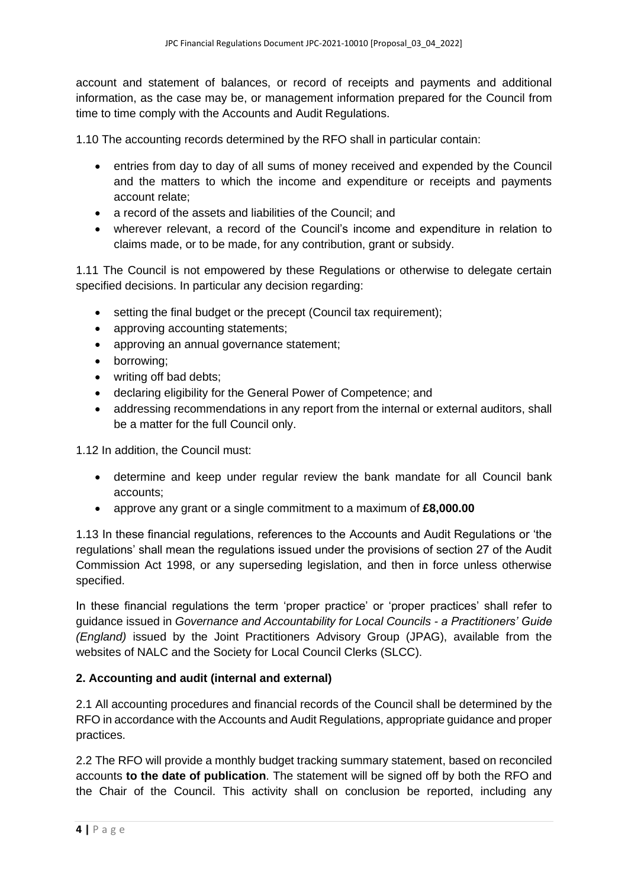account and statement of balances, or record of receipts and payments and additional information, as the case may be, or management information prepared for the Council from time to time comply with the Accounts and Audit Regulations.

1.10 The accounting records determined by the RFO shall in particular contain:

- entries from day to day of all sums of money received and expended by the Council and the matters to which the income and expenditure or receipts and payments account relate;
- a record of the assets and liabilities of the Council; and
- wherever relevant, a record of the Council's income and expenditure in relation to claims made, or to be made, for any contribution, grant or subsidy.

1.11 The Council is not empowered by these Regulations or otherwise to delegate certain specified decisions. In particular any decision regarding:

- setting the final budget or the precept (Council tax requirement);
- approving accounting statements;
- approving an annual governance statement;
- borrowing;
- writing off bad debts;
- declaring eligibility for the General Power of Competence; and
- addressing recommendations in any report from the internal or external auditors, shall be a matter for the full Council only.

1.12 In addition, the Council must:

- determine and keep under regular review the bank mandate for all Council bank accounts;
- approve any grant or a single commitment to a maximum of **£8,000.00**

1.13 In these financial regulations, references to the Accounts and Audit Regulations or 'the regulations' shall mean the regulations issued under the provisions of section 27 of the Audit Commission Act 1998, or any superseding legislation, and then in force unless otherwise specified.

In these financial regulations the term 'proper practice' or 'proper practices' shall refer to guidance issued in *Governance and Accountability for Local Councils - a Practitioners' Guide (England)* issued by the Joint Practitioners Advisory Group (JPAG), available from the websites of NALC and the Society for Local Council Clerks (SLCC).

## **2. Accounting and audit (internal and external)**

2.1 All accounting procedures and financial records of the Council shall be determined by the RFO in accordance with the Accounts and Audit Regulations, appropriate guidance and proper practices.

2.2 The RFO will provide a monthly budget tracking summary statement, based on reconciled accounts **to the date of publication**. The statement will be signed off by both the RFO and the Chair of the Council. This activity shall on conclusion be reported, including any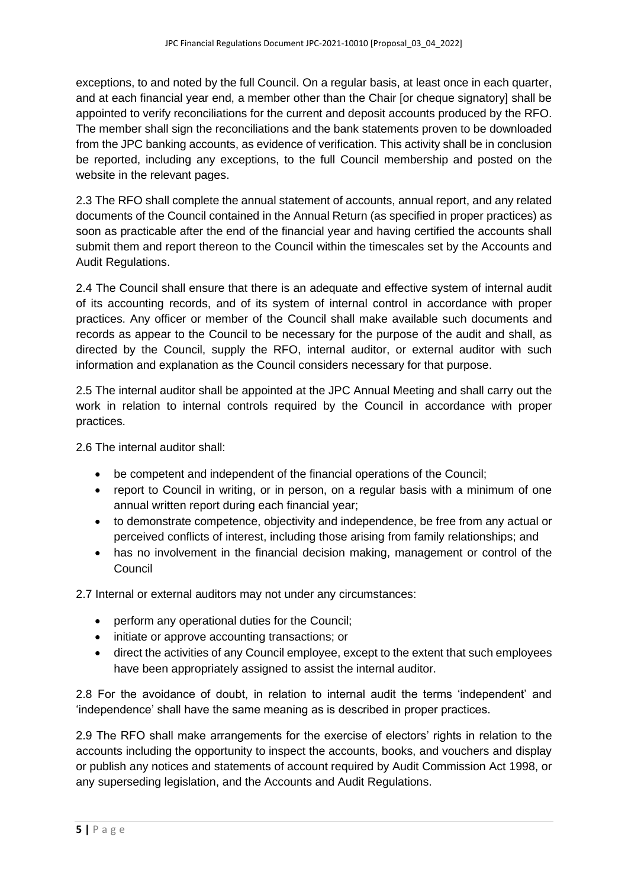exceptions, to and noted by the full Council. On a regular basis, at least once in each quarter, and at each financial year end, a member other than the Chair [or cheque signatory] shall be appointed to verify reconciliations for the current and deposit accounts produced by the RFO. The member shall sign the reconciliations and the bank statements proven to be downloaded from the JPC banking accounts, as evidence of verification. This activity shall be in conclusion be reported, including any exceptions, to the full Council membership and posted on the website in the relevant pages.

2.3 The RFO shall complete the annual statement of accounts, annual report, and any related documents of the Council contained in the Annual Return (as specified in proper practices) as soon as practicable after the end of the financial year and having certified the accounts shall submit them and report thereon to the Council within the timescales set by the Accounts and Audit Regulations.

2.4 The Council shall ensure that there is an adequate and effective system of internal audit of its accounting records, and of its system of internal control in accordance with proper practices. Any officer or member of the Council shall make available such documents and records as appear to the Council to be necessary for the purpose of the audit and shall, as directed by the Council, supply the RFO, internal auditor, or external auditor with such information and explanation as the Council considers necessary for that purpose.

2.5 The internal auditor shall be appointed at the JPC Annual Meeting and shall carry out the work in relation to internal controls required by the Council in accordance with proper practices.

2.6 The internal auditor shall:

- be competent and independent of the financial operations of the Council;
- report to Council in writing, or in person, on a regular basis with a minimum of one annual written report during each financial year;
- to demonstrate competence, objectivity and independence, be free from any actual or perceived conflicts of interest, including those arising from family relationships; and
- has no involvement in the financial decision making, management or control of the Council

2.7 Internal or external auditors may not under any circumstances:

- perform any operational duties for the Council:
- initiate or approve accounting transactions; or
- direct the activities of any Council employee, except to the extent that such employees have been appropriately assigned to assist the internal auditor.

2.8 For the avoidance of doubt, in relation to internal audit the terms 'independent' and 'independence' shall have the same meaning as is described in proper practices.

2.9 The RFO shall make arrangements for the exercise of electors' rights in relation to the accounts including the opportunity to inspect the accounts, books, and vouchers and display or publish any notices and statements of account required by Audit Commission Act 1998, or any superseding legislation, and the Accounts and Audit Regulations.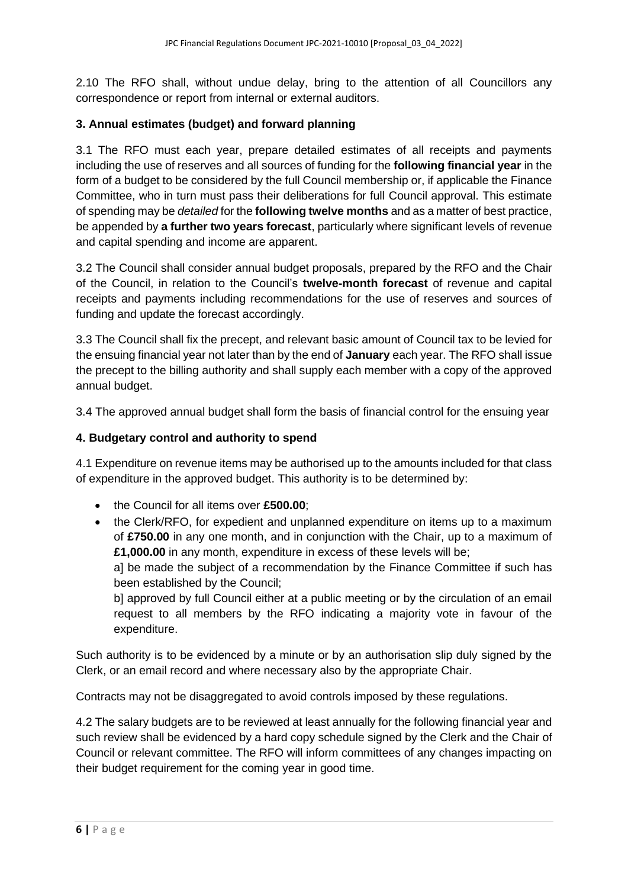2.10 The RFO shall, without undue delay, bring to the attention of all Councillors any correspondence or report from internal or external auditors.

## **3. Annual estimates (budget) and forward planning**

3.1 The RFO must each year, prepare detailed estimates of all receipts and payments including the use of reserves and all sources of funding for the **following financial year** in the form of a budget to be considered by the full Council membership or, if applicable the Finance Committee, who in turn must pass their deliberations for full Council approval. This estimate of spending may be *detailed* for the **following twelve months** and as a matter of best practice, be appended by **a further two years forecast**, particularly where significant levels of revenue and capital spending and income are apparent.

3.2 The Council shall consider annual budget proposals, prepared by the RFO and the Chair of the Council, in relation to the Council's **twelve-month forecast** of revenue and capital receipts and payments including recommendations for the use of reserves and sources of funding and update the forecast accordingly.

3.3 The Council shall fix the precept, and relevant basic amount of Council tax to be levied for the ensuing financial year not later than by the end of **January** each year. The RFO shall issue the precept to the billing authority and shall supply each member with a copy of the approved annual budget.

3.4 The approved annual budget shall form the basis of financial control for the ensuing year

#### **4. Budgetary control and authority to spend**

4.1 Expenditure on revenue items may be authorised up to the amounts included for that class of expenditure in the approved budget. This authority is to be determined by:

- the Council for all items over **£500.00**;
- the Clerk/RFO, for expedient and unplanned expenditure on items up to a maximum of **£750.00** in any one month, and in conjunction with the Chair, up to a maximum of **£1,000.00** in any month, expenditure in excess of these levels will be;

a] be made the subject of a recommendation by the Finance Committee if such has been established by the Council;

b] approved by full Council either at a public meeting or by the circulation of an email request to all members by the RFO indicating a majority vote in favour of the expenditure.

Such authority is to be evidenced by a minute or by an authorisation slip duly signed by the Clerk, or an email record and where necessary also by the appropriate Chair.

Contracts may not be disaggregated to avoid controls imposed by these regulations.

4.2 The salary budgets are to be reviewed at least annually for the following financial year and such review shall be evidenced by a hard copy schedule signed by the Clerk and the Chair of Council or relevant committee. The RFO will inform committees of any changes impacting on their budget requirement for the coming year in good time.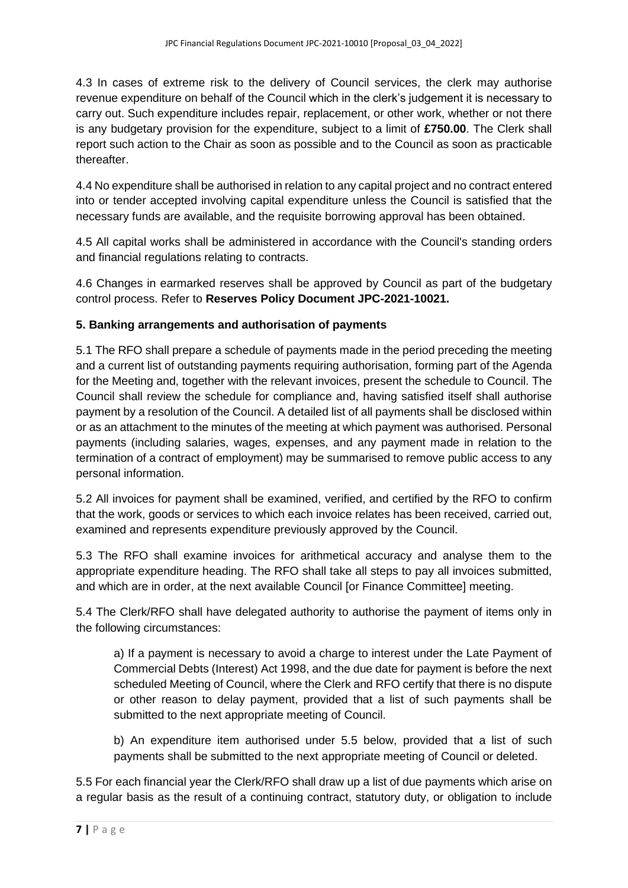4.3 In cases of extreme risk to the delivery of Council services, the clerk may authorise revenue expenditure on behalf of the Council which in the clerk's judgement it is necessary to carry out. Such expenditure includes repair, replacement, or other work, whether or not there is any budgetary provision for the expenditure, subject to a limit of **£750.00**. The Clerk shall report such action to the Chair as soon as possible and to the Council as soon as practicable thereafter.

4.4 No expenditure shall be authorised in relation to any capital project and no contract entered into or tender accepted involving capital expenditure unless the Council is satisfied that the necessary funds are available, and the requisite borrowing approval has been obtained.

4.5 All capital works shall be administered in accordance with the Council's standing orders and financial regulations relating to contracts.

4.6 Changes in earmarked reserves shall be approved by Council as part of the budgetary control process. Refer to **Reserves Policy Document JPC-2021-10021.**

# **5. Banking arrangements and authorisation of payments**

5.1 The RFO shall prepare a schedule of payments made in the period preceding the meeting and a current list of outstanding payments requiring authorisation, forming part of the Agenda for the Meeting and, together with the relevant invoices, present the schedule to Council. The Council shall review the schedule for compliance and, having satisfied itself shall authorise payment by a resolution of the Council. A detailed list of all payments shall be disclosed within or as an attachment to the minutes of the meeting at which payment was authorised. Personal payments (including salaries, wages, expenses, and any payment made in relation to the termination of a contract of employment) may be summarised to remove public access to any personal information.

5.2 All invoices for payment shall be examined, verified, and certified by the RFO to confirm that the work, goods or services to which each invoice relates has been received, carried out, examined and represents expenditure previously approved by the Council.

5.3 The RFO shall examine invoices for arithmetical accuracy and analyse them to the appropriate expenditure heading. The RFO shall take all steps to pay all invoices submitted, and which are in order, at the next available Council [or Finance Committee] meeting.

5.4 The Clerk/RFO shall have delegated authority to authorise the payment of items only in the following circumstances:

a) If a payment is necessary to avoid a charge to interest under the Late Payment of Commercial Debts (Interest) Act 1998, and the due date for payment is before the next scheduled Meeting of Council, where the Clerk and RFO certify that there is no dispute or other reason to delay payment, provided that a list of such payments shall be submitted to the next appropriate meeting of Council.

b) An expenditure item authorised under 5.5 below, provided that a list of such payments shall be submitted to the next appropriate meeting of Council or deleted.

5.5 For each financial year the Clerk/RFO shall draw up a list of due payments which arise on a regular basis as the result of a continuing contract, statutory duty, or obligation to include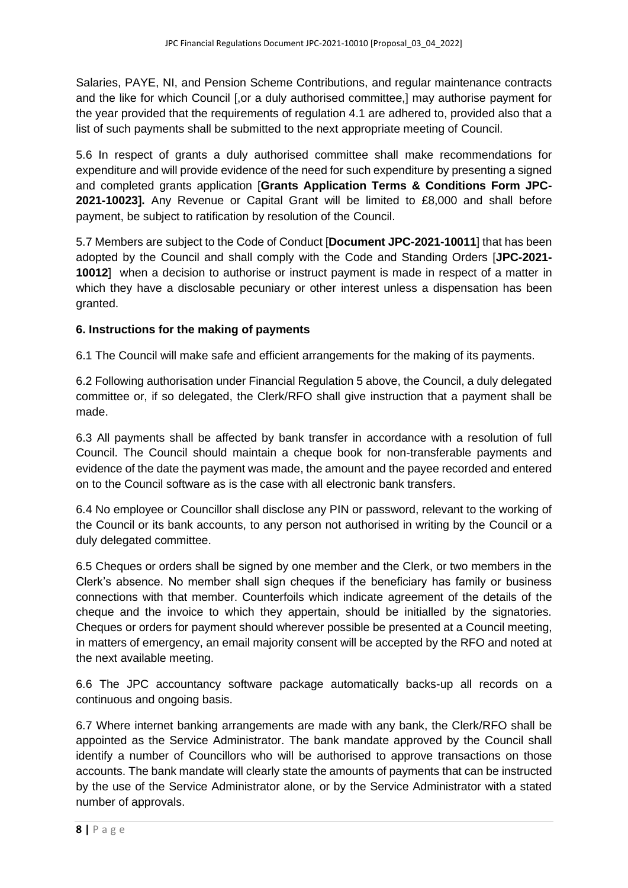Salaries, PAYE, NI, and Pension Scheme Contributions, and regular maintenance contracts and the like for which Council [,or a duly authorised committee,] may authorise payment for the year provided that the requirements of regulation 4.1 are adhered to, provided also that a list of such payments shall be submitted to the next appropriate meeting of Council.

5.6 In respect of grants a duly authorised committee shall make recommendations for expenditure and will provide evidence of the need for such expenditure by presenting a signed and completed grants application [**Grants Application Terms & Conditions Form JPC-2021-10023].** Any Revenue or Capital Grant will be limited to £8,000 and shall before payment, be subject to ratification by resolution of the Council.

5.7 Members are subject to the Code of Conduct [**Document JPC-2021-10011**] that has been adopted by the Council and shall comply with the Code and Standing Orders [**JPC-2021- 10012**] when a decision to authorise or instruct payment is made in respect of a matter in which they have a disclosable pecuniary or other interest unless a dispensation has been granted.

# **6. Instructions for the making of payments**

6.1 The Council will make safe and efficient arrangements for the making of its payments.

6.2 Following authorisation under Financial Regulation 5 above, the Council, a duly delegated committee or, if so delegated, the Clerk/RFO shall give instruction that a payment shall be made.

6.3 All payments shall be affected by bank transfer in accordance with a resolution of full Council. The Council should maintain a cheque book for non-transferable payments and evidence of the date the payment was made, the amount and the payee recorded and entered on to the Council software as is the case with all electronic bank transfers.

6.4 No employee or Councillor shall disclose any PIN or password, relevant to the working of the Council or its bank accounts, to any person not authorised in writing by the Council or a duly delegated committee.

6.5 Cheques or orders shall be signed by one member and the Clerk, or two members in the Clerk's absence. No member shall sign cheques if the beneficiary has family or business connections with that member. Counterfoils which indicate agreement of the details of the cheque and the invoice to which they appertain, should be initialled by the signatories. Cheques or orders for payment should wherever possible be presented at a Council meeting, in matters of emergency, an email majority consent will be accepted by the RFO and noted at the next available meeting.

6.6 The JPC accountancy software package automatically backs-up all records on a continuous and ongoing basis.

6.7 Where internet banking arrangements are made with any bank, the Clerk/RFO shall be appointed as the Service Administrator. The bank mandate approved by the Council shall identify a number of Councillors who will be authorised to approve transactions on those accounts. The bank mandate will clearly state the amounts of payments that can be instructed by the use of the Service Administrator alone, or by the Service Administrator with a stated number of approvals.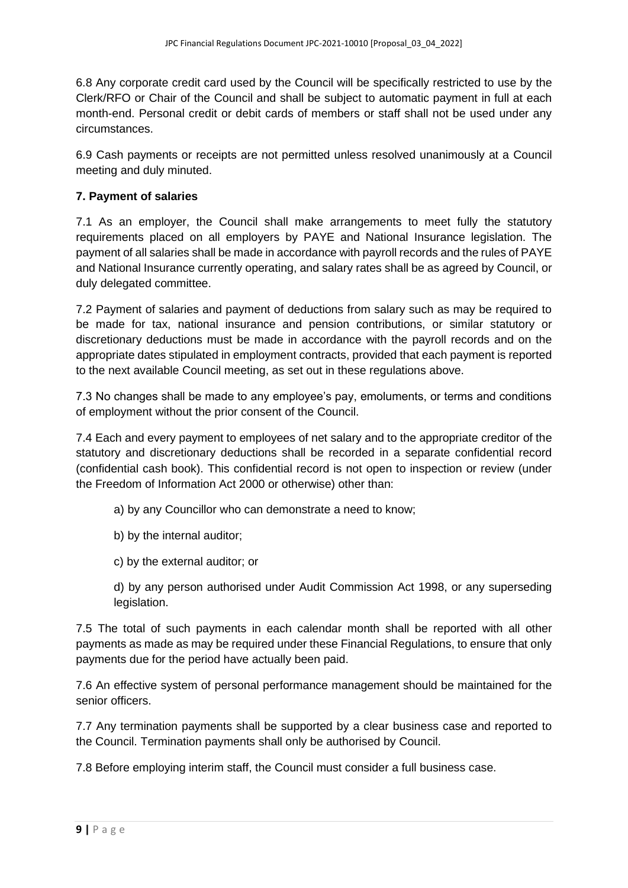6.8 Any corporate credit card used by the Council will be specifically restricted to use by the Clerk/RFO or Chair of the Council and shall be subject to automatic payment in full at each month-end. Personal credit or debit cards of members or staff shall not be used under any circumstances.

6.9 Cash payments or receipts are not permitted unless resolved unanimously at a Council meeting and duly minuted.

#### **7. Payment of salaries**

7.1 As an employer, the Council shall make arrangements to meet fully the statutory requirements placed on all employers by PAYE and National Insurance legislation. The payment of all salaries shall be made in accordance with payroll records and the rules of PAYE and National Insurance currently operating, and salary rates shall be as agreed by Council, or duly delegated committee.

7.2 Payment of salaries and payment of deductions from salary such as may be required to be made for tax, national insurance and pension contributions, or similar statutory or discretionary deductions must be made in accordance with the payroll records and on the appropriate dates stipulated in employment contracts, provided that each payment is reported to the next available Council meeting, as set out in these regulations above.

7.3 No changes shall be made to any employee's pay, emoluments, or terms and conditions of employment without the prior consent of the Council.

7.4 Each and every payment to employees of net salary and to the appropriate creditor of the statutory and discretionary deductions shall be recorded in a separate confidential record (confidential cash book). This confidential record is not open to inspection or review (under the Freedom of Information Act 2000 or otherwise) other than:

- a) by any Councillor who can demonstrate a need to know;
- b) by the internal auditor;
- c) by the external auditor; or

d) by any person authorised under Audit Commission Act 1998, or any superseding legislation.

7.5 The total of such payments in each calendar month shall be reported with all other payments as made as may be required under these Financial Regulations, to ensure that only payments due for the period have actually been paid.

7.6 An effective system of personal performance management should be maintained for the senior officers.

7.7 Any termination payments shall be supported by a clear business case and reported to the Council. Termination payments shall only be authorised by Council.

7.8 Before employing interim staff, the Council must consider a full business case.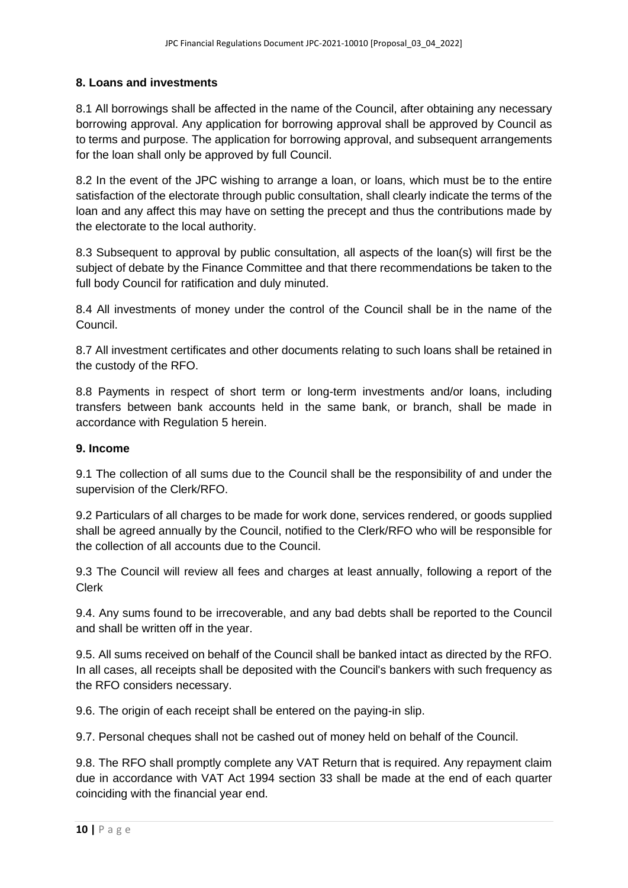# **8. Loans and investments**

8.1 All borrowings shall be affected in the name of the Council, after obtaining any necessary borrowing approval. Any application for borrowing approval shall be approved by Council as to terms and purpose. The application for borrowing approval, and subsequent arrangements for the loan shall only be approved by full Council.

8.2 In the event of the JPC wishing to arrange a loan, or loans, which must be to the entire satisfaction of the electorate through public consultation, shall clearly indicate the terms of the loan and any affect this may have on setting the precept and thus the contributions made by the electorate to the local authority.

8.3 Subsequent to approval by public consultation, all aspects of the loan(s) will first be the subject of debate by the Finance Committee and that there recommendations be taken to the full body Council for ratification and duly minuted.

8.4 All investments of money under the control of the Council shall be in the name of the Council.

8.7 All investment certificates and other documents relating to such loans shall be retained in the custody of the RFO.

8.8 Payments in respect of short term or long-term investments and/or loans, including transfers between bank accounts held in the same bank, or branch, shall be made in accordance with Regulation 5 herein.

#### **9. Income**

9.1 The collection of all sums due to the Council shall be the responsibility of and under the supervision of the Clerk/RFO.

9.2 Particulars of all charges to be made for work done, services rendered, or goods supplied shall be agreed annually by the Council, notified to the Clerk/RFO who will be responsible for the collection of all accounts due to the Council.

9.3 The Council will review all fees and charges at least annually, following a report of the Clerk

9.4. Any sums found to be irrecoverable, and any bad debts shall be reported to the Council and shall be written off in the year.

9.5. All sums received on behalf of the Council shall be banked intact as directed by the RFO. In all cases, all receipts shall be deposited with the Council's bankers with such frequency as the RFO considers necessary.

9.6. The origin of each receipt shall be entered on the paying-in slip.

9.7. Personal cheques shall not be cashed out of money held on behalf of the Council.

9.8. The RFO shall promptly complete any VAT Return that is required. Any repayment claim due in accordance with VAT Act 1994 section 33 shall be made at the end of each quarter coinciding with the financial year end.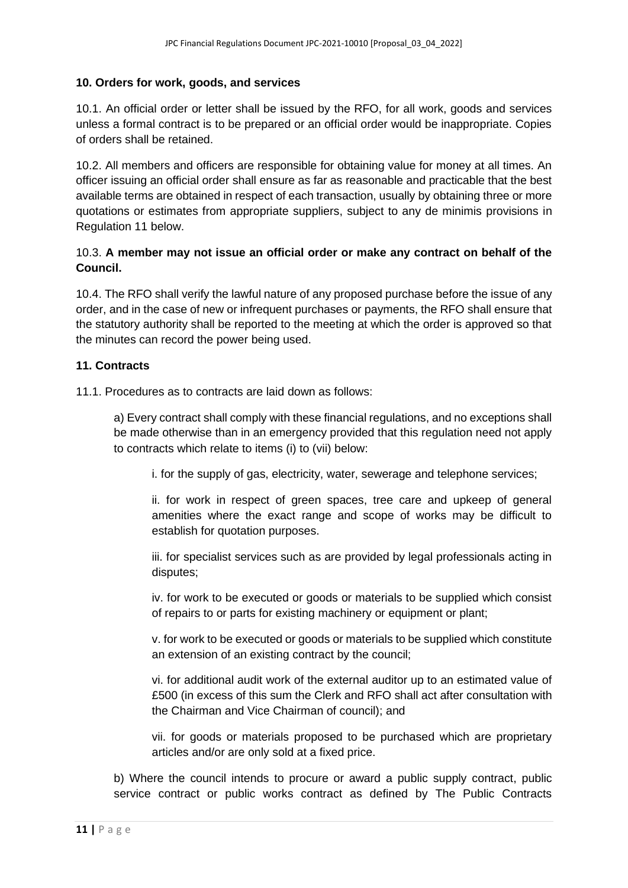#### **10. Orders for work, goods, and services**

10.1. An official order or letter shall be issued by the RFO, for all work, goods and services unless a formal contract is to be prepared or an official order would be inappropriate. Copies of orders shall be retained.

10.2. All members and officers are responsible for obtaining value for money at all times. An officer issuing an official order shall ensure as far as reasonable and practicable that the best available terms are obtained in respect of each transaction, usually by obtaining three or more quotations or estimates from appropriate suppliers, subject to any de minimis provisions in Regulation 11 below.

#### 10.3. **A member may not issue an official order or make any contract on behalf of the Council.**

10.4. The RFO shall verify the lawful nature of any proposed purchase before the issue of any order, and in the case of new or infrequent purchases or payments, the RFO shall ensure that the statutory authority shall be reported to the meeting at which the order is approved so that the minutes can record the power being used.

#### **11. Contracts**

11.1. Procedures as to contracts are laid down as follows:

a) Every contract shall comply with these financial regulations, and no exceptions shall be made otherwise than in an emergency provided that this regulation need not apply to contracts which relate to items (i) to (vii) below:

i. for the supply of gas, electricity, water, sewerage and telephone services;

ii. for work in respect of green spaces, tree care and upkeep of general amenities where the exact range and scope of works may be difficult to establish for quotation purposes.

iii. for specialist services such as are provided by legal professionals acting in disputes;

iv. for work to be executed or goods or materials to be supplied which consist of repairs to or parts for existing machinery or equipment or plant;

v. for work to be executed or goods or materials to be supplied which constitute an extension of an existing contract by the council;

vi. for additional audit work of the external auditor up to an estimated value of £500 (in excess of this sum the Clerk and RFO shall act after consultation with the Chairman and Vice Chairman of council); and

vii. for goods or materials proposed to be purchased which are proprietary articles and/or are only sold at a fixed price.

b) Where the council intends to procure or award a public supply contract, public service contract or public works contract as defined by The Public Contracts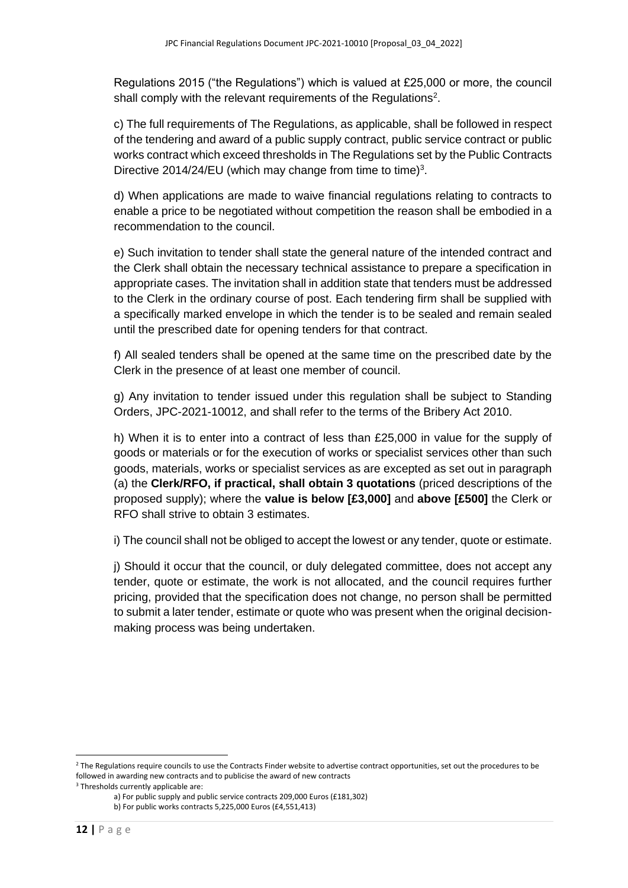Regulations 2015 ("the Regulations") which is valued at £25,000 or more, the council shall comply with the relevant requirements of the Regulations<sup>2</sup>.

c) The full requirements of The Regulations, as applicable, shall be followed in respect of the tendering and award of a public supply contract, public service contract or public works contract which exceed thresholds in The Regulations set by the Public Contracts Directive 2014/24/EU (which may change from time to time) $3$ .

d) When applications are made to waive financial regulations relating to contracts to enable a price to be negotiated without competition the reason shall be embodied in a recommendation to the council.

e) Such invitation to tender shall state the general nature of the intended contract and the Clerk shall obtain the necessary technical assistance to prepare a specification in appropriate cases. The invitation shall in addition state that tenders must be addressed to the Clerk in the ordinary course of post. Each tendering firm shall be supplied with a specifically marked envelope in which the tender is to be sealed and remain sealed until the prescribed date for opening tenders for that contract.

f) All sealed tenders shall be opened at the same time on the prescribed date by the Clerk in the presence of at least one member of council.

g) Any invitation to tender issued under this regulation shall be subject to Standing Orders, JPC-2021-10012, and shall refer to the terms of the Bribery Act 2010.

h) When it is to enter into a contract of less than £25,000 in value for the supply of goods or materials or for the execution of works or specialist services other than such goods, materials, works or specialist services as are excepted as set out in paragraph (a) the **Clerk/RFO, if practical, shall obtain 3 quotations** (priced descriptions of the proposed supply); where the **value is below [£3,000]** and **above [£500]** the Clerk or RFO shall strive to obtain 3 estimates.

i) The council shall not be obliged to accept the lowest or any tender, quote or estimate.

j) Should it occur that the council, or duly delegated committee, does not accept any tender, quote or estimate, the work is not allocated, and the council requires further pricing, provided that the specification does not change, no person shall be permitted to submit a later tender, estimate or quote who was present when the original decisionmaking process was being undertaken.

<sup>&</sup>lt;sup>2</sup> The Regulations require councils to use the Contracts Finder website to advertise contract opportunities, set out the procedures to be followed in awarding new contracts and to publicise the award of new contracts

<sup>&</sup>lt;sup>3</sup> Thresholds currently applicable are:

a) For public supply and public service contracts 209,000 Euros (£181,302)

b) For public works contracts 5,225,000 Euros (£4,551,413)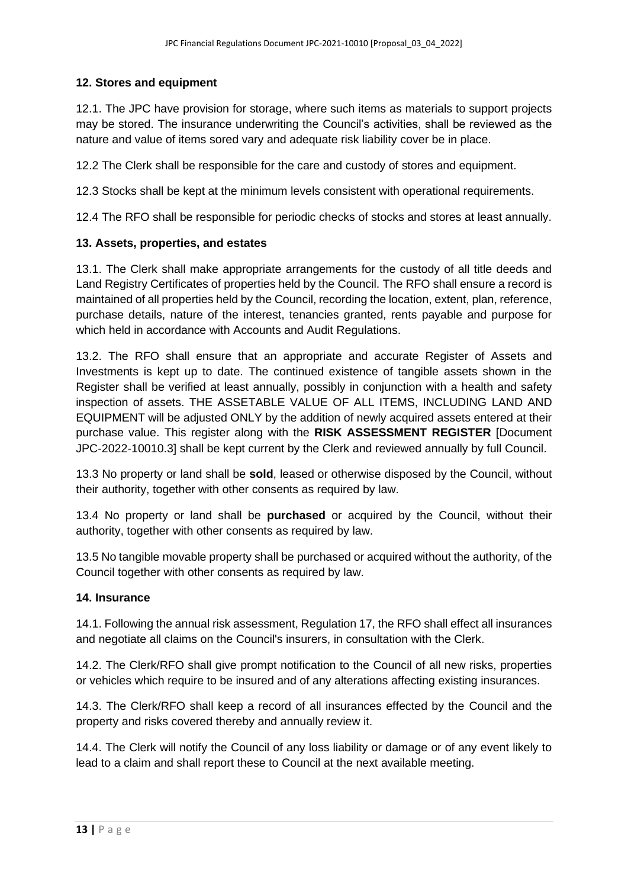# **12. Stores and equipment**

12.1. The JPC have provision for storage, where such items as materials to support projects may be stored. The insurance underwriting the Council's activities, shall be reviewed as the nature and value of items sored vary and adequate risk liability cover be in place.

12.2 The Clerk shall be responsible for the care and custody of stores and equipment.

12.3 Stocks shall be kept at the minimum levels consistent with operational requirements.

12.4 The RFO shall be responsible for periodic checks of stocks and stores at least annually.

## **13. Assets, properties, and estates**

13.1. The Clerk shall make appropriate arrangements for the custody of all title deeds and Land Registry Certificates of properties held by the Council. The RFO shall ensure a record is maintained of all properties held by the Council, recording the location, extent, plan, reference, purchase details, nature of the interest, tenancies granted, rents payable and purpose for which held in accordance with Accounts and Audit Regulations.

13.2. The RFO shall ensure that an appropriate and accurate Register of Assets and Investments is kept up to date. The continued existence of tangible assets shown in the Register shall be verified at least annually, possibly in conjunction with a health and safety inspection of assets. THE ASSETABLE VALUE OF ALL ITEMS, INCLUDING LAND AND EQUIPMENT will be adjusted ONLY by the addition of newly acquired assets entered at their purchase value. This register along with the **RISK ASSESSMENT REGISTER** [Document JPC-2022-10010.3] shall be kept current by the Clerk and reviewed annually by full Council.

13.3 No property or land shall be **sold**, leased or otherwise disposed by the Council, without their authority, together with other consents as required by law.

13.4 No property or land shall be **purchased** or acquired by the Council, without their authority, together with other consents as required by law.

13.5 No tangible movable property shall be purchased or acquired without the authority, of the Council together with other consents as required by law.

## **14. Insurance**

14.1. Following the annual risk assessment, Regulation 17, the RFO shall effect all insurances and negotiate all claims on the Council's insurers, in consultation with the Clerk.

14.2. The Clerk/RFO shall give prompt notification to the Council of all new risks, properties or vehicles which require to be insured and of any alterations affecting existing insurances.

14.3. The Clerk/RFO shall keep a record of all insurances effected by the Council and the property and risks covered thereby and annually review it.

14.4. The Clerk will notify the Council of any loss liability or damage or of any event likely to lead to a claim and shall report these to Council at the next available meeting.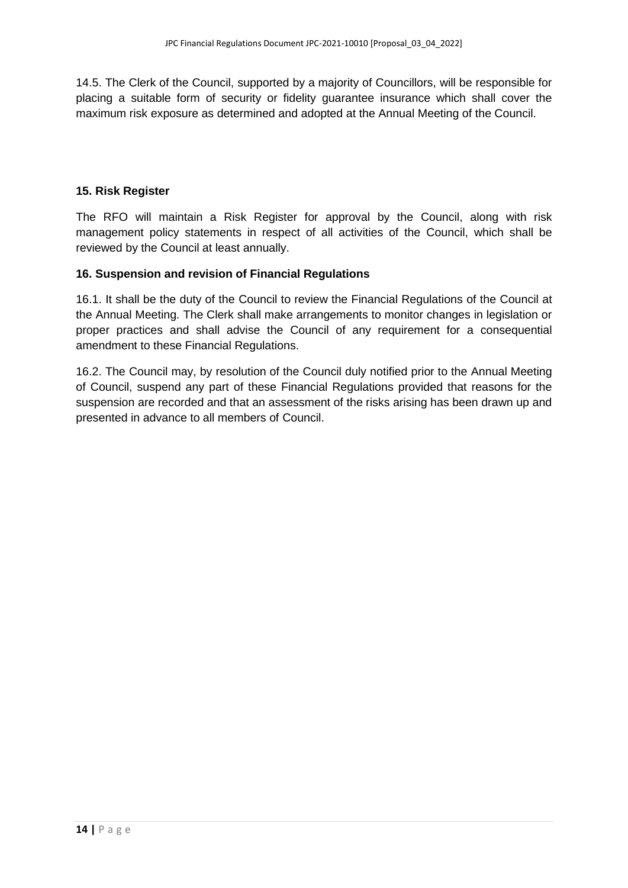14.5. The Clerk of the Council, supported by a majority of Councillors, will be responsible for placing a suitable form of security or fidelity guarantee insurance which shall cover the maximum risk exposure as determined and adopted at the Annual Meeting of the Council.

#### **15. Risk Register**

The RFO will maintain a Risk Register for approval by the Council, along with risk management policy statements in respect of all activities of the Council, which shall be reviewed by the Council at least annually.

#### **16. Suspension and revision of Financial Regulations**

16.1. It shall be the duty of the Council to review the Financial Regulations of the Council at the Annual Meeting. The Clerk shall make arrangements to monitor changes in legislation or proper practices and shall advise the Council of any requirement for a consequential amendment to these Financial Regulations.

16.2. The Council may, by resolution of the Council duly notified prior to the Annual Meeting of Council, suspend any part of these Financial Regulations provided that reasons for the suspension are recorded and that an assessment of the risks arising has been drawn up and presented in advance to all members of Council.